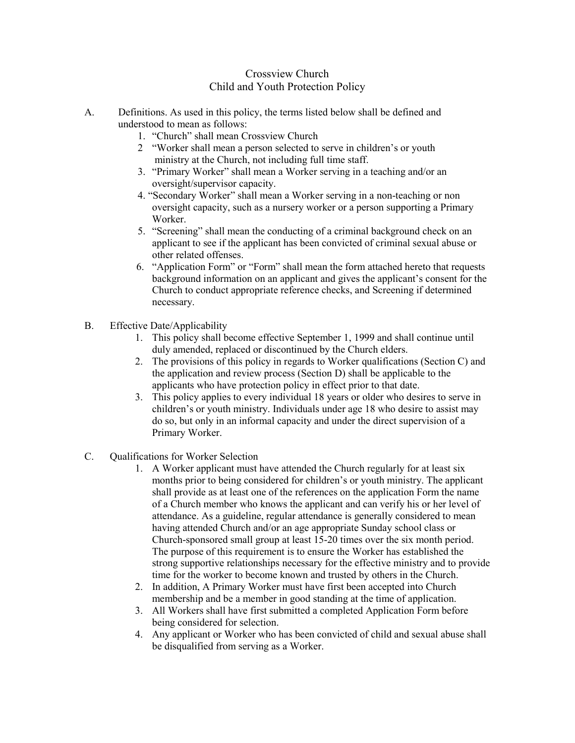## Crossview Church Child and Youth Protection Policy

- A. Definitions. As used in this policy, the terms listed below shall be defined and understood to mean as follows:
	- 1. "Church" shall mean Crossview Church
	- 2 "Worker shall mean a person selected to serve in children's or youth ministry at the Church, not including full time staff.
	- 3. "Primary Worker" shall mean a Worker serving in a teaching and/or an oversight/supervisor capacity.
	- 4. "Secondary Worker" shall mean a Worker serving in a non-teaching or non oversight capacity, such as a nursery worker or a person supporting a Primary Worker.
	- 5. "Screening" shall mean the conducting of a criminal background check on an applicant to see if the applicant has been convicted of criminal sexual abuse or other related offenses.
	- 6. "Application Form" or "Form" shall mean the form attached hereto that requests background information on an applicant and gives the applicant's consent for the Church to conduct appropriate reference checks, and Screening if determined necessary.
- B. Effective Date/Applicability
	- 1. This policy shall become effective September 1, 1999 and shall continue until duly amended, replaced or discontinued by the Church elders.
	- 2. The provisions of this policy in regards to Worker qualifications (Section C) and the application and review process (Section D) shall be applicable to the applicants who have protection policy in effect prior to that date.
	- 3. This policy applies to every individual 18 years or older who desires to serve in children's or youth ministry. Individuals under age 18 who desire to assist may do so, but only in an informal capacity and under the direct supervision of a Primary Worker.
- C. Qualifications for Worker Selection
	- 1. A Worker applicant must have attended the Church regularly for at least six months prior to being considered for children's or youth ministry. The applicant shall provide as at least one of the references on the application Form the name of a Church member who knows the applicant and can verify his or her level of attendance. As a guideline, regular attendance is generally considered to mean having attended Church and/or an age appropriate Sunday school class or Church-sponsored small group at least 15-20 times over the six month period. The purpose of this requirement is to ensure the Worker has established the strong supportive relationships necessary for the effective ministry and to provide time for the worker to become known and trusted by others in the Church.
	- 2. In addition, A Primary Worker must have first been accepted into Church membership and be a member in good standing at the time of application.
	- 3. All Workers shall have first submitted a completed Application Form before being considered for selection.
	- 4. Any applicant or Worker who has been convicted of child and sexual abuse shall be disqualified from serving as a Worker.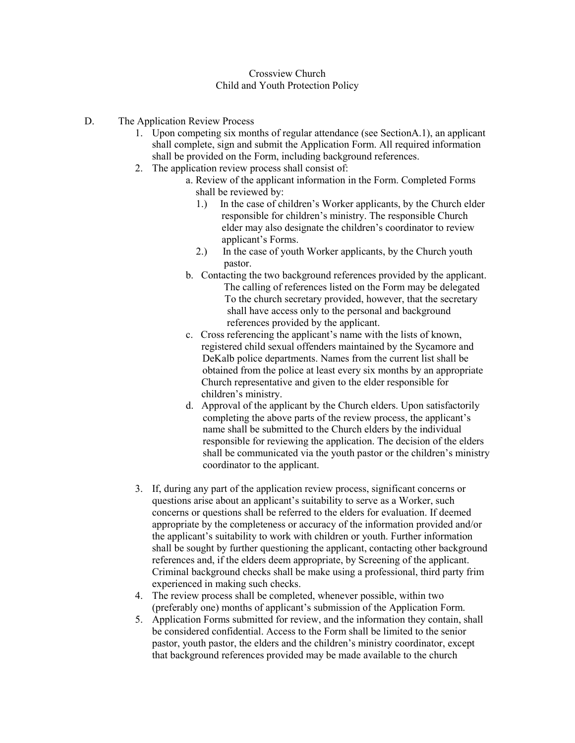## Crossview Church Child and Youth Protection Policy

- D. The Application Review Process
	- 1. Upon competing six months of regular attendance (see SectionA.1), an applicant shall complete, sign and submit the Application Form. All required information shall be provided on the Form, including background references.
	- 2. The application review process shall consist of:
		- a. Review of the applicant information in the Form. Completed Forms shall be reviewed by:
			- 1.) In the case of children's Worker applicants, by the Church elder responsible for children's ministry. The responsible Church elder may also designate the children's coordinator to review applicant's Forms.
			- 2.) In the case of youth Worker applicants, by the Church youth pastor.
			- b. Contacting the two background references provided by the applicant. The calling of references listed on the Form may be delegated To the church secretary provided, however, that the secretary shall have access only to the personal and background references provided by the applicant.
			- c. Cross referencing the applicant's name with the lists of known, registered child sexual offenders maintained by the Sycamore and DeKalb police departments. Names from the current list shall be obtained from the police at least every six months by an appropriate Church representative and given to the elder responsible for children's ministry.
			- d. Approval of the applicant by the Church elders. Upon satisfactorily completing the above parts of the review process, the applicant's name shall be submitted to the Church elders by the individual responsible for reviewing the application. The decision of the elders shall be communicated via the youth pastor or the children's ministry coordinator to the applicant.
	- 3. If, during any part of the application review process, significant concerns or questions arise about an applicant's suitability to serve as a Worker, such concerns or questions shall be referred to the elders for evaluation. If deemed appropriate by the completeness or accuracy of the information provided and/or the applicant's suitability to work with children or youth. Further information shall be sought by further questioning the applicant, contacting other background references and, if the elders deem appropriate, by Screening of the applicant. Criminal background checks shall be make using a professional, third party frim experienced in making such checks.
	- 4. The review process shall be completed, whenever possible, within two (preferably one) months of applicant's submission of the Application Form.
	- 5. Application Forms submitted for review, and the information they contain, shall be considered confidential. Access to the Form shall be limited to the senior pastor, youth pastor, the elders and the children's ministry coordinator, except that background references provided may be made available to the church